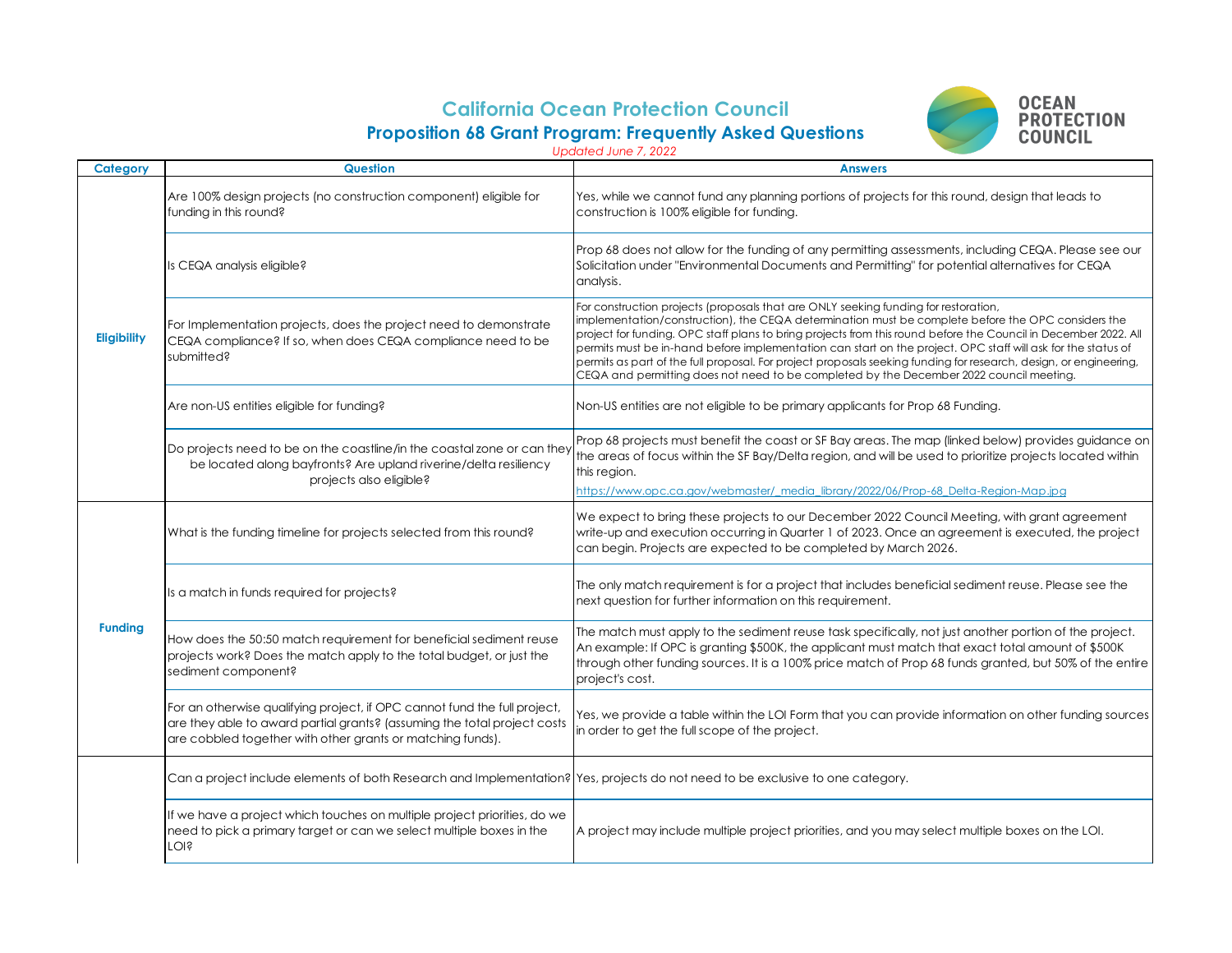## **California Ocean Protection Council Proposition 68 Grant Program: Frequently Asked Questions**



*Updated June 7, 2022*

| Category       | <b>Question</b>                                                                                                                                                                                                     | <b>Answers</b>                                                                                                                                                                                                                                                                                                                                                                                                                                                                                                                                                                                                                               |
|----------------|---------------------------------------------------------------------------------------------------------------------------------------------------------------------------------------------------------------------|----------------------------------------------------------------------------------------------------------------------------------------------------------------------------------------------------------------------------------------------------------------------------------------------------------------------------------------------------------------------------------------------------------------------------------------------------------------------------------------------------------------------------------------------------------------------------------------------------------------------------------------------|
| Eligibility    | Are 100% design projects (no construction component) eligible for<br>funding in this round?                                                                                                                         | Yes, while we cannot fund any planning portions of projects for this round, design that leads to<br>construction is 100% eligible for funding.                                                                                                                                                                                                                                                                                                                                                                                                                                                                                               |
|                | Is CEQA analysis eligible?                                                                                                                                                                                          | Prop 68 does not allow for the funding of any permitting assessments, including CEQA. Please see our<br>Solicitation under "Environmental Documents and Permitting" for potential alternatives for CEQA<br>analysis.                                                                                                                                                                                                                                                                                                                                                                                                                         |
|                | For Implementation projects, does the project need to demonstrate<br>CEQA compliance? If so, when does CEQA compliance need to be<br>submitted?                                                                     | For construction projects (proposals that are ONLY seeking funding for restoration,<br>implementation/construction), the CEQA determination must be complete before the OPC considers the<br>project for funding. OPC staff plans to bring projects from this round before the Council in December 2022. All<br>permits must be in-hand before implementation can start on the project. OPC staff will ask for the status of<br>permits as part of the full proposal. For project proposals seeking funding for research, design, or engineering,<br>CEQA and permitting does not need to be completed by the December 2022 council meeting. |
|                | Are non-US entities eligible for funding?                                                                                                                                                                           | Non-US entities are not eligible to be primary applicants for Prop 68 Funding.                                                                                                                                                                                                                                                                                                                                                                                                                                                                                                                                                               |
|                | Do projects need to be on the coastline/in the coastal zone or can they<br>be located along bayfronts? Are upland riverine/delta resiliency<br>projects also eligible?                                              | Prop 68 projects must benefit the coast or SF Bay areas. The map (linked below) provides guidance on<br>the areas of focus within the SF Bay/Delta region, and will be used to prioritize projects located within<br>this region.                                                                                                                                                                                                                                                                                                                                                                                                            |
|                |                                                                                                                                                                                                                     | https://www.opc.ca.gov/webmaster/_media_library/2022/06/Prop-68_Delta-Region-Map.jpg                                                                                                                                                                                                                                                                                                                                                                                                                                                                                                                                                         |
| <b>Funding</b> | What is the funding timeline for projects selected from this round?                                                                                                                                                 | We expect to bring these projects to our December 2022 Council Meeting, with grant agreement<br>write-up and execution occurring in Quarter 1 of 2023. Once an agreement is executed, the project<br>can begin. Projects are expected to be completed by March 2026.                                                                                                                                                                                                                                                                                                                                                                         |
|                | Is a match in funds required for projects?                                                                                                                                                                          | The only match requirement is for a project that includes beneficial sediment reuse. Please see the<br>next question for further information on this requirement.                                                                                                                                                                                                                                                                                                                                                                                                                                                                            |
|                | How does the 50:50 match requirement for beneficial sediment reuse<br>projects work? Does the match apply to the total budget, or just the<br>sediment component?                                                   | The match must apply to the sediment reuse task specifically, not just another portion of the project.<br>An example: If OPC is granting \$500K, the applicant must match that exact total amount of \$500K<br>through other funding sources. It is a 100% price match of Prop 68 funds granted, but 50% of the entire<br>project's cost.                                                                                                                                                                                                                                                                                                    |
|                | For an otherwise qualifying project, if OPC cannot fund the full project,<br>are they able to award partial grants? (assuming the total project costs<br>are cobbled together with other grants or matching funds). | Yes, we provide a table within the LOI Form that you can provide information on other funding sources<br>in order to get the full scope of the project.                                                                                                                                                                                                                                                                                                                                                                                                                                                                                      |
|                | Can a project include elements of both Research and Implementation? Yes, projects do not need to be exclusive to one category.                                                                                      |                                                                                                                                                                                                                                                                                                                                                                                                                                                                                                                                                                                                                                              |
|                | If we have a project which touches on multiple project priorities, do we<br>need to pick a primary target or can we select multiple boxes in the<br><b>TOIS</b>                                                     | A project may include multiple project priorities, and you may select multiple boxes on the LOI.                                                                                                                                                                                                                                                                                                                                                                                                                                                                                                                                             |